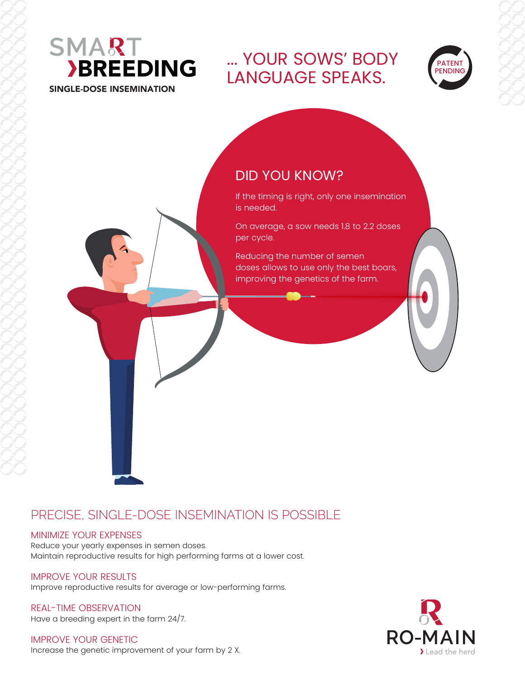

... YOUR SOWS' BODY LANGUAGE SPEAKS.



# DID YOU KNOW?

If the timing is right, only one insemination is needed.

On average, a sow needs 1.8 to 2.2 doses per cycle.

Reducing the number of semen doses allows to use only the best boars, improving the genetics of the farm.

## PRECISE, SINGLE-DOSE INSEMINATION IS POSSIBLE

#### MINIMIZE YOUR EXPENSES

Reduce your yearly expenses in semen doses. Maintain reproductive results for high performing farms at a lower cost.

#### IMPROVE YOUR RESULTS

Improve reproductive results for average or low-performing farms.

REAL-TIME OBSERVATION Have a breeding expert in the farm 24/7.

IMPROVE YOUR GENETIC Increase the genetic improvement of your farm by 2 X.